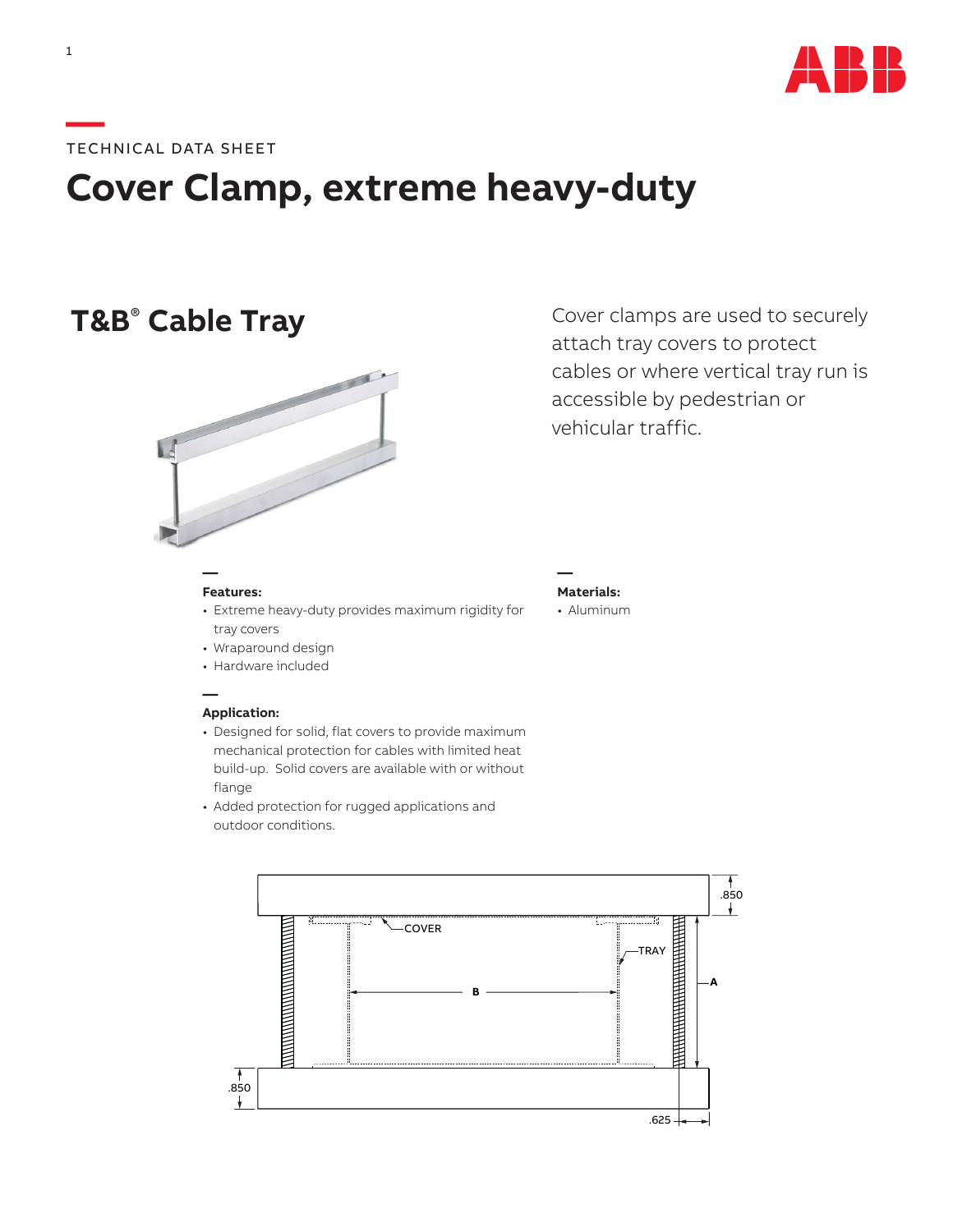

### **—**TECHNICAL DATA SHEET

# **Cover Clamp, extreme heavy-duty**

## **T&B<sup>®</sup> Cable Tray**



#### **Features:**

**—**

**—**

- Extreme heavy-duty provides maximum rigidity for tray covers
- Wraparound design
- Hardware included

#### **Application:**

- Designed for solid, flat covers to provide maximum mechanical protection for cables with limited heat build-up. Solid covers are available with or without flange
- Added protection for rugged applications and outdoor conditions.



Cover clamps are used to securely attach tray covers to protect cables or where vertical tray run is accessible by pedestrian or vehicular traffic.

**— Materials:** • Aluminum